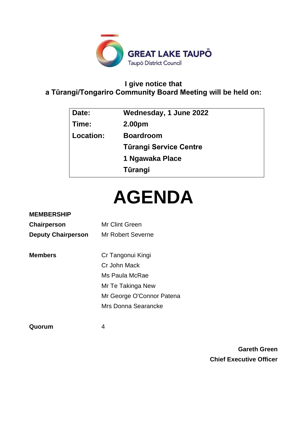

# **I give notice that a Tūrangi/Tongariro Community Board Meeting will be held on:**

| Date:     | Wednesday, 1 June 2022 |
|-----------|------------------------|
| Time:     | 2.00 <sub>pm</sub>     |
| Location: | <b>Boardroom</b>       |
|           | Türangi Service Centre |
|           | 1 Ngawaka Place        |
|           | Tūrangi                |
|           |                        |

# **AGENDA**

# **MEMBERSHIP**

| Chairperson               | Mr Clint Green    |  |
|---------------------------|-------------------|--|
| <b>Deputy Chairperson</b> | Mr Robert Severne |  |

**Members** Cr Tangonui Kingi Cr John Mack Ms Paula McRae Mr Te Takinga New Mr George O'Connor Patena Mrs Donna Searancke

**Quorum** 4

**Gareth Green Chief Executive Officer**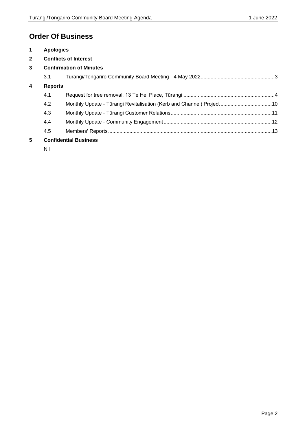# **Order Of Business**

| $\mathbf 1$                               | <b>Apologies</b>             |                                                                        |  |
|-------------------------------------------|------------------------------|------------------------------------------------------------------------|--|
| $\overline{2}$                            | <b>Conflicts of Interest</b> |                                                                        |  |
| 3                                         |                              | <b>Confirmation of Minutes</b>                                         |  |
|                                           | 3.1                          |                                                                        |  |
| $\overline{\mathbf{4}}$<br><b>Reports</b> |                              |                                                                        |  |
|                                           | 4.1                          |                                                                        |  |
|                                           | 4.2                          | Monthly Update - Tūrangi Revitalisation (Kerb and Channel) Project  10 |  |
|                                           | 4.3                          |                                                                        |  |
|                                           | 4.4                          |                                                                        |  |
|                                           | 4.5                          |                                                                        |  |
| 5                                         | <b>Confidential Business</b> |                                                                        |  |

Nil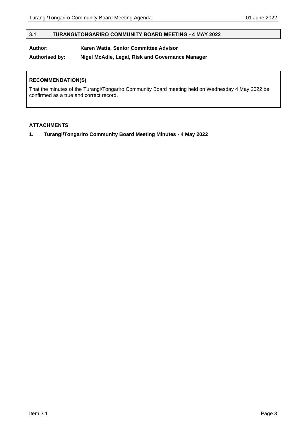## <span id="page-2-0"></span>**3.1 TURANGI/TONGARIRO COMMUNITY BOARD MEETING - 4 MAY 2022**

## **Author: Karen Watts, Senior Committee Advisor**

**Authorised by: Nigel McAdie, Legal, Risk and Governance Manager**

#### **RECOMMENDATION(S)**

That the minutes of the Turangi/Tongariro Community Board meeting held on Wednesday 4 May 2022 be confirmed as a true and correct record.

#### **ATTACHMENTS**

**1. Turangi/Tongariro Community Board Meeting Minutes - 4 May 2022**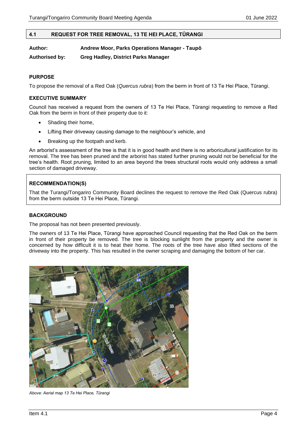#### <span id="page-3-0"></span>**4.1 REQUEST FOR TREE REMOVAL, 13 TE HEI PLACE, TŪRANGI**

**Author: Andrew Moor, Parks Operations Manager - Taupō**

**Authorised by: Greg Hadley, District Parks Manager**

#### **PURPOSE**

To propose the removal of a Red Oak (*Quercus rubra*) from the berm in front of 13 Te Hei Place, Tūrangi.

#### **EXECUTIVE SUMMARY**

Council has received a request from the owners of 13 Te Hei Place, Tūrangi requesting to remove a Red Oak from the berm in front of their property due to it:

- Shading their home.
- Lifting their driveway causing damage to the neighbour's vehicle, and
- Breaking up the footpath and kerb.

An arborist's assessment of the tree is that it is in good health and there is no arboricultural justification for its removal. The tree has been pruned and the arborist has stated further pruning would not be beneficial for the tree's health. Root pruning, limited to an area beyond the trees structural roots would only address a small section of damaged driveway.

#### **RECOMMENDATION(S)**

That the Turangi/Tongariro Community Board declines the request to remove the Red Oak (Quercus rubra) from the berm outside 13 Te Hei Place, Tūrangi.

#### **BACKGROUND**

The proposal has not been presented previously.

The owners of 13 Te Hei Place, Tūrangi have approached Council requesting that the Red Oak on the berm in front of their property be removed. The tree is blocking sunlight from the property and the owner is concerned by how difficult it is to heat their home. The roots of the tree have also lifted sections of the driveway into the property. This has resulted in the owner scraping and damaging the bottom of her car.



*Above: Aerial map 13 Te Hei Place, Tūrangi*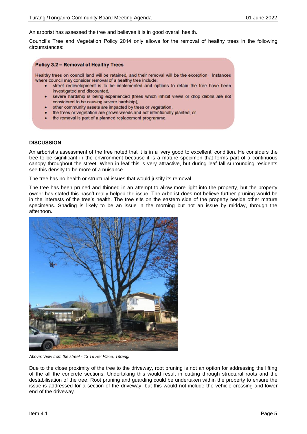An arborist has assessed the tree and believes it is in good overall health.

Council's Tree and Vegetation Policy 2014 only allows for the removal of healthy trees in the following circumstances:

#### **Policy 3.2 - Removal of Healthy Trees**

Healthy trees on council land will be retained, and their removal will be the exception. Instances where council may consider removal of a healthy tree include:

- street redevelopment is to be implemented and options to retain the tree have been investigated and discounted.
- · severe hardship is being experienced (trees which inhibit views or drop debris are not considered to be causing severe hardship),
- other community assets are impacted by trees or vegetation,
- the trees or vegetation are grown weeds and not intentionally planted, or
- the removal is part of a planned replacement programme.

#### **DISCUSSION**

An arborist's assessment of the tree noted that it is in a 'very good to excellent' condition. He considers the tree to be significant in the environment because it is a mature specimen that forms part of a continuous canopy throughout the street. When in leaf this is very attractive, but during leaf fall surrounding residents see this density to be more of a nuisance.

The tree has no health or structural issues that would justify its removal.

The tree has been pruned and thinned in an attempt to allow more light into the property, but the property owner has stated this hasn't really helped the issue. The arborist does not believe further pruning would be in the interests of the tree's health. The tree sits on the eastern side of the property beside other mature specimens. Shading is likely to be an issue in the morning but not an issue by midday, through the afternoon.



*Above: View from the street - 13 Te Hei Place, Tūrangi*

Due to the close proximity of the tree to the driveway, root pruning is not an option for addressing the lifting of the all the concrete sections. Undertaking this would result in cutting through structural roots and the destabilisation of the tree. Root pruning and guarding could be undertaken within the property to ensure the issue is addressed for a section of the driveway, but this would not include the vehicle crossing and lower end of the driveway.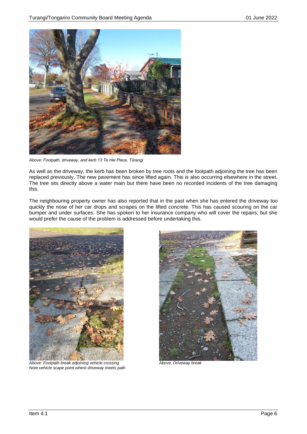

*Above: Footpath, driveway, and kerb 13 Te Hei Place, Tūrangi*

As well as the driveway, the kerb has been broken by tree roots and the footpath adjoining the tree has been replaced previously. The new pavement has since lifted again. This is also occurring elsewhere in the street. The tree sits directly above a water main but there have been no recorded incidents of the tree damaging this.

The neighbouring property owner has also reported that in the past when she has entered the driveway too quickly the nose of her car drops and scrapes on the lifted concrete. This has caused scouring on the car bumper and under surfaces. She has spoken to her insurance company who will cover the repairs, but she would prefer the cause of the problem is addressed before undertaking this.



*Above: Footpath break adjoining vehicle crossing Above, Driveway break Note vehicle scape point where driveway meets path*

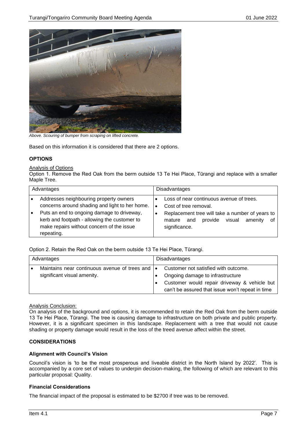

*Above. Scouring of bumper from scraping on lifted concrete.*

Based on this information it is considered that there are 2 options.

#### **OPTIONS**

Analysis of Options

Option 1. Remove the Red Oak from the berm outside 13 Te Hei Place, Tūrangi and replace with a smaller Maple Tree.

| Advantages |                                                                                                                                                                                                                                     | Disadvantages |                                                                                                                                                                                           |  |
|------------|-------------------------------------------------------------------------------------------------------------------------------------------------------------------------------------------------------------------------------------|---------------|-------------------------------------------------------------------------------------------------------------------------------------------------------------------------------------------|--|
|            | Addresses neighbouring property owners<br>concerns around shading and light to her home.<br>Puts an end to ongoing damage to driveway,<br>kerb and footpath - allowing the customer to<br>make repairs without concern of the issue |               | Loss of near continuous avenue of trees.<br>Cost of tree removal.<br>Replacement tree will take a number of years to<br>provide visual<br>amenitv<br>and<br>οf<br>mature<br>significance. |  |
|            | repeating.                                                                                                                                                                                                                          |               |                                                                                                                                                                                           |  |

Option 2. Retain the Red Oak on the berm outside 13 Te Hei Place, Tūrangi.

| Advantages                                                                      | Disadvantages                                                                                                                                                                |  |
|---------------------------------------------------------------------------------|------------------------------------------------------------------------------------------------------------------------------------------------------------------------------|--|
| Maintains near continuous avenue of trees and  .<br>significant visual amenity. | Customer not satisfied with outcome.<br>Ongoing damage to infrastructure<br>Customer would repair driveway & vehicle but<br>can't be assured that issue won't repeat in time |  |

Analysis Conclusion:

On analysis of the background and options, it is recommended to retain the Red Oak from the berm outside 13 Te Hei Place, Tūrangi. The tree is causing damage to infrastructure on both private and public property. However, it is a significant specimen in this landscape. Replacement with a tree that would not cause shading or property damage would result in the loss of the treed avenue affect within the street.

#### **CONSIDERATIONS**

#### **Alignment with Council's Vision**

Council's vision is 'to be the most prosperous and liveable district in the North Island by 2022'. This is accompanied by a core set of values to underpin decision-making, the following of which are relevant to this particular proposal: Quality.

#### **Financial Considerations**

The financial impact of the proposal is estimated to be \$2700 if tree was to be removed.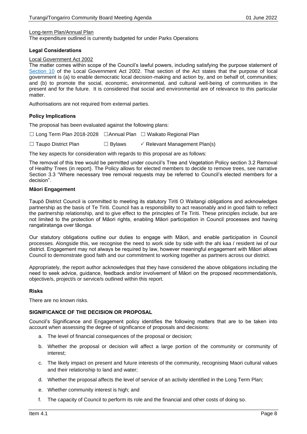#### Long-term Plan/Annual Plan

The expenditure outlined is currently budgeted for under Parks Operations

#### **Legal Considerations**

#### Local Government Act 2002

The matter comes within scope of the Council's lawful powers, including satisfying the purpose statement of [Section 10](http://www.legislation.govt.nz/act/public/2002/0084/latest/DLM171803.html?search=qs_act%40bill%40regulation%40deemedreg_local+government+act_resel_25_h&p=1) of the Local Government Act 2002. That section of the Act states that the purpose of local government is (a) to enable democratic local decision-making and action by, and on behalf of, communities; and (b) to promote the social, economic, environmental, and cultural well-being of communities in the present and for the future. It is considered that social and environmental are of relevance to this particular matter

Authorisations are not required from external parties.

#### **Policy Implications**

The proposal has been evaluated against the following plans:

☐ Long Term Plan 2018-2028 ☐Annual Plan ☐ Waikato Regional Plan

☐ Taupo District Plan ☐ Bylaws Relevant Management Plan(s)

The key aspects for consideration with regards to this proposal are as follows:

The removal of this tree would be permitted under council's Tree and Vegetation Policy section 3.2 Removal of Healthy Trees (in report). The Policy allows for elected members to decide to remove trees, see narrative Section 3.3 "Where necessary tree removal requests may be referred to Council's elected members for a decision".

#### **Māori Engagement**

Taupō District Council is committed to meeting its statutory Tiriti O Waitangi obligations and acknowledges partnership as the basis of Te Tiriti. Council has a responsibility to act reasonably and in good faith to reflect the partnership relationship, and to give effect to the principles of Te Tiriti. These principles include, but are not limited to the protection of Māori rights, enabling Māori participation in Council processes and having rangatiratanga over tāonga.

Our statutory obligations outline our duties to engage with Māori, and enable participation in Council processes. Alongside this, we recognise the need to work side by side with the ahi kaa / resident iwi of our district. Engagement may not always be required by law, however meaningful engagement with Māori allows Council to demonstrate good faith and our commitment to working together as partners across our district.

Appropriately, the report author acknowledges that they have considered the above obligations including the need to seek advice, guidance, feedback and/or involvement of Māori on the proposed recommendation/s, objective/s, project/s or service/s outlined within this report.

#### **Risks**

There are no known risks.

#### **SIGNIFICANCE OF THE DECISION OR PROPOSAL**

Council's Significance and Engagement policy identifies the following matters that are to be taken into account when assessing the degree of significance of proposals and decisions:

- a. The level of financial consequences of the proposal or decision;
- b. Whether the proposal or decision will affect a large portion of the community or community of interest;
- c. The likely impact on present and future interests of the community, recognising Maori cultural values and their relationship to land and water;
- d. Whether the proposal affects the level of service of an activity identified in the Long Term Plan;
- e. Whether community interest is high; and
- f. The capacity of Council to perform its role and the financial and other costs of doing so.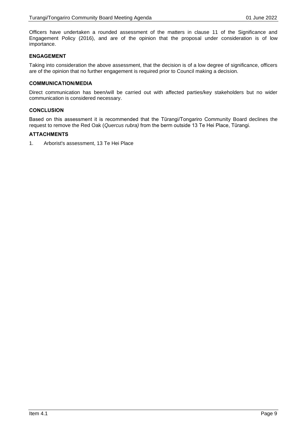Officers have undertaken a rounded assessment of the matters in clause 11 of the Significance and Engagement Policy (2016), and are of the opinion that the proposal under consideration is of low importance.

#### **ENGAGEMENT**

Taking into consideration the above assessment, that the decision is of a low degree of significance, officers are of the opinion that no further engagement is required prior to Council making a decision.

#### **COMMUNICATION/MEDIA**

Direct communication has been/will be carried out with affected parties/key stakeholders but no wider communication is considered necessary.

#### **CONCLUSION**

Based on this assessment it is recommended that the Tūrangi/Tongariro Community Board declines the request to remove the Red Oak (*Quercus rubra)* from the berm outside 13 Te Hei Place, Tūrangi.

#### **ATTACHMENTS**

1. Arborist's assessment, 13 Te Hei Place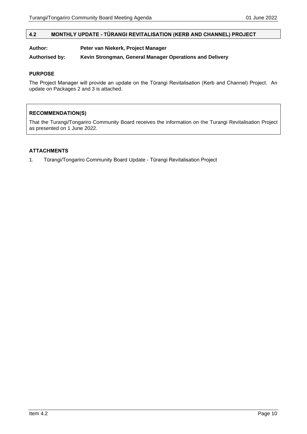#### <span id="page-9-0"></span>**4.2 MONTHLY UPDATE - TŪRANGI REVITALISATION (KERB AND CHANNEL) PROJECT**

#### **Author: Peter van Niekerk, Project Manager**

**Authorised by: Kevin Strongman, General Manager Operations and Delivery**

#### **PURPOSE**

The Project Manager will provide an update on the Tūrangi Revitalisation (Kerb and Channel) Project. An update on Packages 2 and 3 is attached.

#### **RECOMMENDATION(S)**

That the Turangi/Tongariro Community Board receives the information on the Turangi Revitalisation Project as presented on 1 June 2022.

#### **ATTACHMENTS**

1. Tūrangi/Tongariro Community Board Update - Tūrangi Revitalisation Project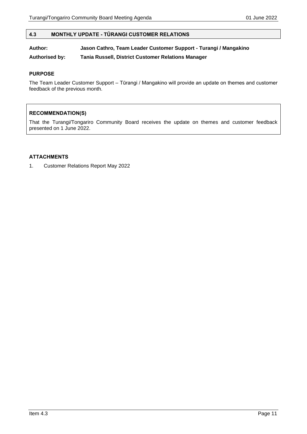#### <span id="page-10-0"></span>**4.3 MONTHLY UPDATE - TŪRANGI CUSTOMER RELATIONS**

# **Author: Jason Cathro, Team Leader Customer Support - Turangi / Mangakino**

**Authorised by: Tania Russell, District Customer Relations Manager**

#### **PURPOSE**

The Team Leader Customer Support – Tūrangi / Mangakino will provide an update on themes and customer feedback of the previous month.

## **RECOMMENDATION(S)**

That the Turangi/Tongariro Community Board receives the update on themes and customer feedback presented on 1 June 2022.

#### **ATTACHMENTS**

1. Customer Relations Report May 2022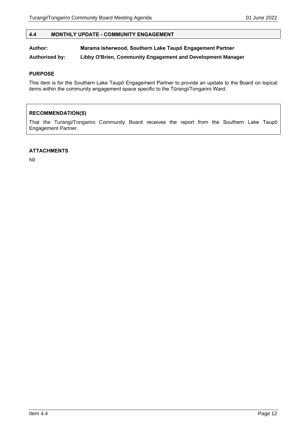#### <span id="page-11-0"></span>**4.4 MONTHLY UPDATE - COMMUNITY ENGAGEMENT**

# **Author: Marama Isherwood, Southern Lake Taupō Engagement Partner**

**Authorised by: Libby O'Brien, Community Engagement and Development Manager**

#### **PURPOSE**

This item is for the Southern Lake Taupō Engagement Partner to provide an update to the Board on topical items within the community engagement space specific to the Tūrangi/Tongariro Ward.

## **RECOMMENDATION(S)**

That the Turangi/Tongariro Community Board receives the report from the Southern Lake Taupō Engagement Partner.

#### **ATTACHMENTS**

Nil